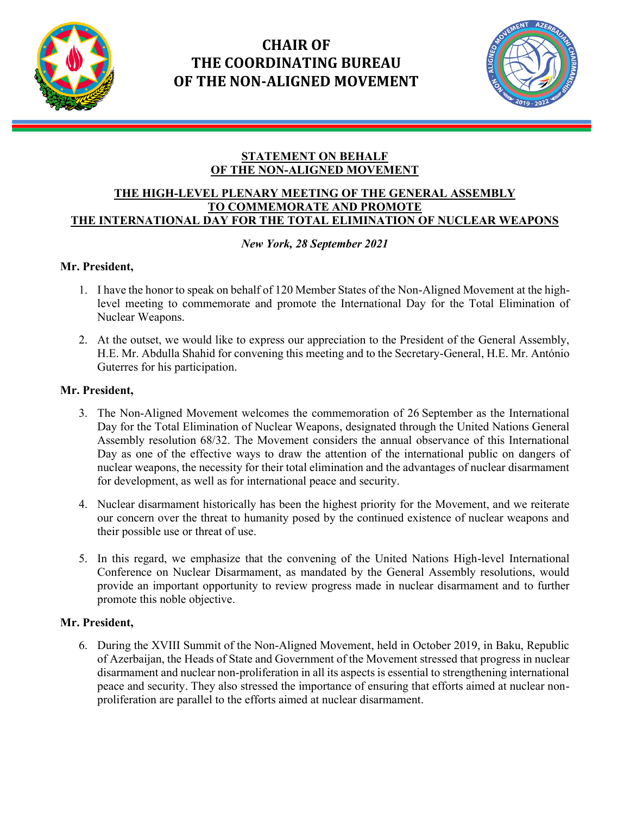

İ

# **CHAIR OF THE COORDINATING BUREAU OF THE NON-ALIGNED MOVEMENT**



### **STATEMENT ON BEHALF OF THE NON-ALIGNED MOVEMENT**

#### **THE HIGH-LEVEL PLENARY MEETING OF THE GENERAL ASSEMBLY TO COMMEMORATE AND PROMOTE THE INTERNATIONAL DAY FOR THE TOTAL ELIMINATION OF NUCLEAR WEAPONS**

## *New York, 28 September 2021*

## **Mr. President,**

- 1. I have the honor to speak on behalf of 120 Member States of the Non-Aligned Movement at the highlevel meeting to commemorate and promote the International Day for the Total Elimination of Nuclear Weapons.
- 2. At the outset, we would like to express our appreciation to the President of the General Assembly, H.E. Mr. Abdulla Shahid for convening this meeting and to the Secretary-General, H.E. Mr. António Guterres for his participation.

### **Mr. President,**

- 3. The Non-Aligned Movement welcomes the commemoration of 26 September as the International Day for the Total Elimination of Nuclear Weapons, designated through the United Nations General Assembly resolution 68/32. The Movement considers the annual observance of this International Day as one of the effective ways to draw the attention of the international public on dangers of nuclear weapons, the necessity for their total elimination and the advantages of nuclear disarmament for development, as well as for international peace and security.
- 4. Nuclear disarmament historically has been the highest priority for the Movement, and we reiterate our concern over the threat to humanity posed by the continued existence of nuclear weapons and their possible use or threat of use.
- 5. In this regard, we emphasize that the convening of the United Nations High-level International Conference on Nuclear Disarmament, as mandated by the General Assembly resolutions, would provide an important opportunity to review progress made in nuclear disarmament and to further promote this noble objective.

## **Mr. President,**

6. During the XVIII Summit of the Non-Aligned Movement, held in October 2019, in Baku, Republic of Azerbaijan, the Heads of State and Government of the Movement stressed that progress in nuclear disarmament and nuclear non-proliferation in all its aspects is essential to strengthening international peace and security. They also stressed the importance of ensuring that efforts aimed at nuclear nonproliferation are parallel to the efforts aimed at nuclear disarmament.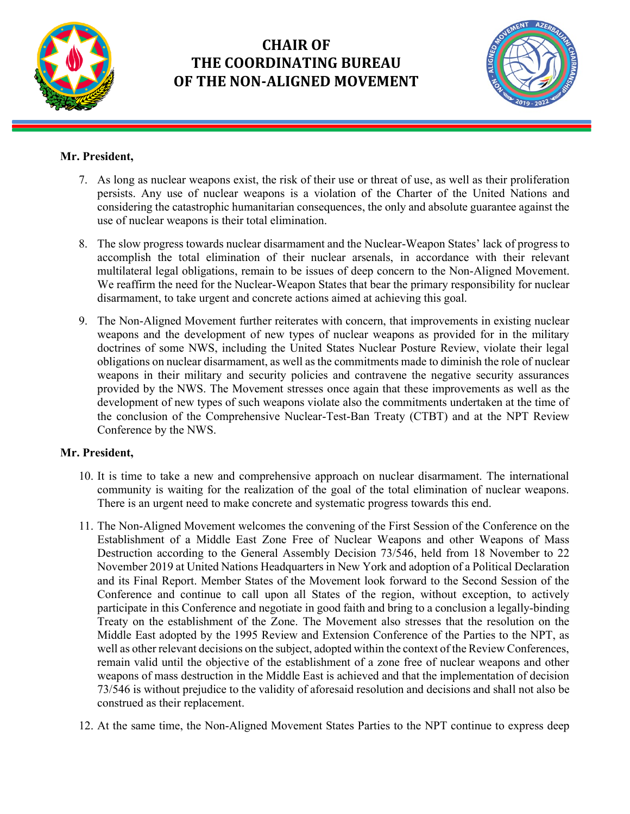

İ

# **CHAIR OF THE COORDINATING BUREAU OF THE NON-ALIGNED MOVEMENT**



## **Mr. President,**

- 7. As long as nuclear weapons exist, the risk of their use or threat of use, as well as their proliferation persists. Any use of nuclear weapons is a violation of the Charter of the United Nations and considering the catastrophic humanitarian consequences, the only and absolute guarantee against the use of nuclear weapons is their total elimination.
- 8. The slow progress towards nuclear disarmament and the Nuclear-Weapon States' lack of progress to accomplish the total elimination of their nuclear arsenals, in accordance with their relevant multilateral legal obligations, remain to be issues of deep concern to the Non-Aligned Movement. We reaffirm the need for the Nuclear-Weapon States that bear the primary responsibility for nuclear disarmament, to take urgent and concrete actions aimed at achieving this goal.
- 9. The Non-Aligned Movement further reiterates with concern, that improvements in existing nuclear weapons and the development of new types of nuclear weapons as provided for in the military doctrines of some NWS, including the United States Nuclear Posture Review, violate their legal obligations on nuclear disarmament, as well as the commitments made to diminish the role of nuclear weapons in their military and security policies and contravene the negative security assurances provided by the NWS. The Movement stresses once again that these improvements as well as the development of new types of such weapons violate also the commitments undertaken at the time of the conclusion of the Comprehensive Nuclear-Test-Ban Treaty (CTBT) and at the NPT Review Conference by the NWS.

#### **Mr. President,**

- 10. It is time to take a new and comprehensive approach on nuclear disarmament. The international community is waiting for the realization of the goal of the total elimination of nuclear weapons. There is an urgent need to make concrete and systematic progress towards this end.
- 11. The Non-Aligned Movement welcomes the convening of the First Session of the Conference on the Establishment of a Middle East Zone Free of Nuclear Weapons and other Weapons of Mass Destruction according to the General Assembly Decision 73/546, held from 18 November to 22 November 2019 at United Nations Headquarters in New York and adoption of a Political Declaration and its Final Report. Member States of the Movement look forward to the Second Session of the Conference and continue to call upon all States of the region, without exception, to actively participate in this Conference and negotiate in good faith and bring to a conclusion a legally-binding Treaty on the establishment of the Zone. The Movement also stresses that the resolution on the Middle East adopted by the 1995 Review and Extension Conference of the Parties to the NPT, as well as other relevant decisions on the subject, adopted within the context of the Review Conferences, remain valid until the objective of the establishment of a zone free of nuclear weapons and other weapons of mass destruction in the Middle East is achieved and that the implementation of decision 73/546 is without prejudice to the validity of aforesaid resolution and decisions and shall not also be construed as their replacement.
- 12. At the same time, the Non-Aligned Movement States Parties to the NPT continue to express deep